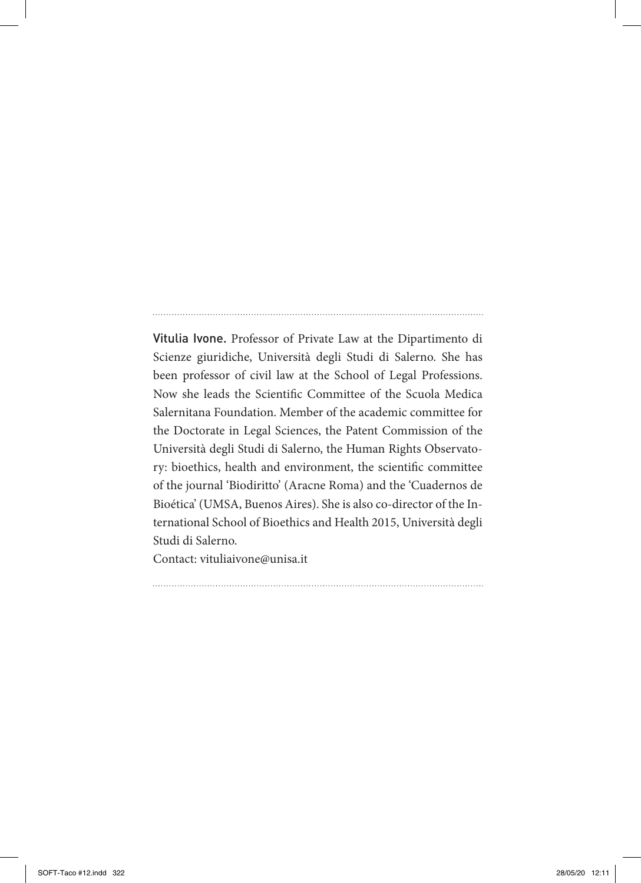Vitulia Ivone. Professor of Private Law at the Dipartimento di Scienze giuridiche, Università degli Studi di Salerno. She has been professor of civil law at the School of Legal Professions. Now she leads the Scientific Committee of the Scuola Medica Salernitana Foundation. Member of the academic committee for the Doctorate in Legal Sciences, the Patent Commission of the Università degli Studi di Salerno, the Human Rights Observatory: bioethics, health and environment, the scientific committee of the journal 'Biodiritto' (Aracne Roma) and the 'Cuadernos de Bioética' (UMSA, Buenos Aires). She is also co-director of the International School of Bioethics and Health 2015, Università degli Studi di Salerno.

Contact: vituliaivone@unisa.it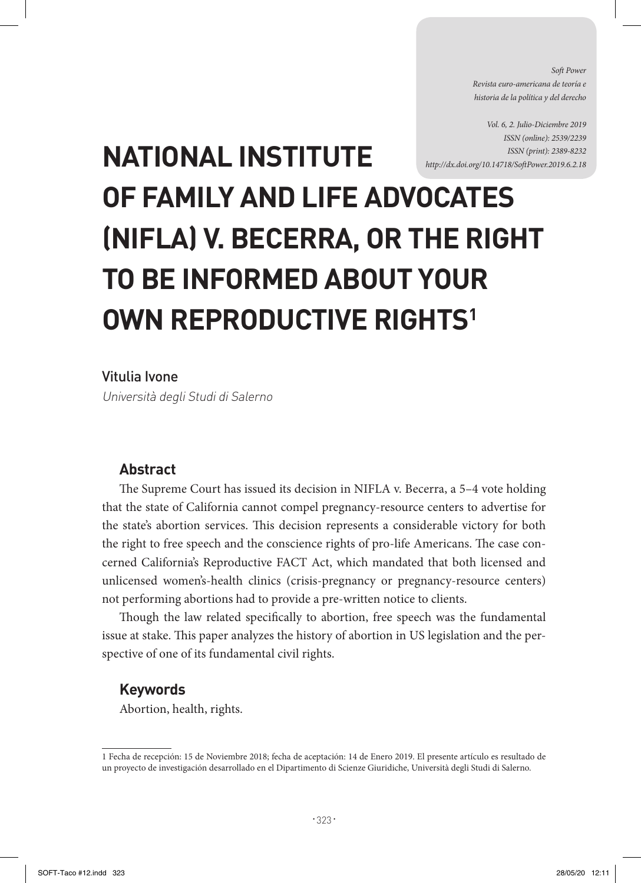*Soft Power Revista euro-americana de teoría e historia de la política y del derecho* 

*Vol. 6, 2. Julio-Diciembre 2019 ISSN (online): 2539/2239 ISSN (print): 2389-8232 http://dx.doi.org/10.14718/SoftPower.2019.6.2.18*

# **NATIONAL INSTITUTE OF FAMILY AND LIFE ADVOCATES (NIFLA) V. BECERRA, OR THE RIGHT TO BE INFORMED ABOUT YOUR OWN REPRODUCTIVE RIGHTS1**

#### Vitulia Ivone

Università degli Studi di Salerno

#### **Abstract**

The Supreme Court has issued its decision in NIFLA v. Becerra, a 5–4 vote holding that the state of California cannot compel pregnancy-resource centers to advertise for the state's abortion services. This decision represents a considerable victory for both the right to free speech and the conscience rights of pro-life Americans. The case concerned California's Reproductive FACT Act, which mandated that both licensed and unlicensed women's-health clinics (crisis-pregnancy or pregnancy-resource centers) not performing abortions had to provide a pre-written notice to clients.

Though the law related specifically to abortion, free speech was the fundamental issue at stake. This paper analyzes the history of abortion in US legislation and the perspective of one of its fundamental civil rights.

#### **Keywords**

Abortion, health, rights.

<sup>1</sup> Fecha de recepción: 15 de Noviembre 2018; fecha de aceptación: 14 de Enero 2019. El presente artículo es resultado de un proyecto de investigación desarrollado en el Dipartimento di Scienze Giuridiche, Università degli Studi di Salerno.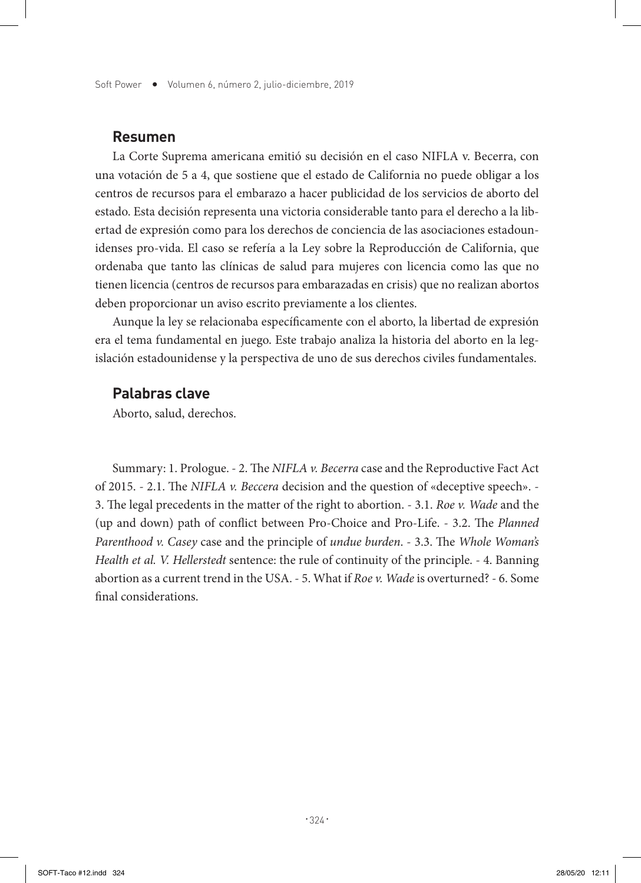#### **Resumen**

La Corte Suprema americana emitió su decisión en el caso NIFLA v. Becerra, con una votación de 5 a 4, que sostiene que el estado de California no puede obligar a los centros de recursos para el embarazo a hacer publicidad de los servicios de aborto del estado. Esta decisión representa una victoria considerable tanto para el derecho a la libertad de expresión como para los derechos de conciencia de las asociaciones estadounidenses pro-vida. El caso se refería a la Ley sobre la Reproducción de California, que ordenaba que tanto las clínicas de salud para mujeres con licencia como las que no tienen licencia (centros de recursos para embarazadas en crisis) que no realizan abortos deben proporcionar un aviso escrito previamente a los clientes.

Aunque la ley se relacionaba específicamente con el aborto, la libertad de expresión era el tema fundamental en juego. Este trabajo analiza la historia del aborto en la legislación estadounidense y la perspectiva de uno de sus derechos civiles fundamentales.

#### **Palabras clave**

Aborto, salud, derechos.

Summary: 1. Prologue. - 2. The *NIFLA v. Becerra* case and the Reproductive Fact Act of 2015. - 2.1. The *NIFLA v. Beccera* decision and the question of «deceptive speech». - 3. The legal precedents in the matter of the right to abortion. - 3.1. *Roe v. Wade* and the (up and down) path of conflict between Pro-Choice and Pro-Life. - 3.2. The *Planned Parenthood v. Casey* case and the principle of *undue burden*. - 3.3. The *Whole Woman's Health et al. V. Hellerstedt* sentence: the rule of continuity of the principle. - 4. Banning abortion as a current trend in the USA. - 5. What if *Roe v. Wade* is overturned? - 6. Some final considerations.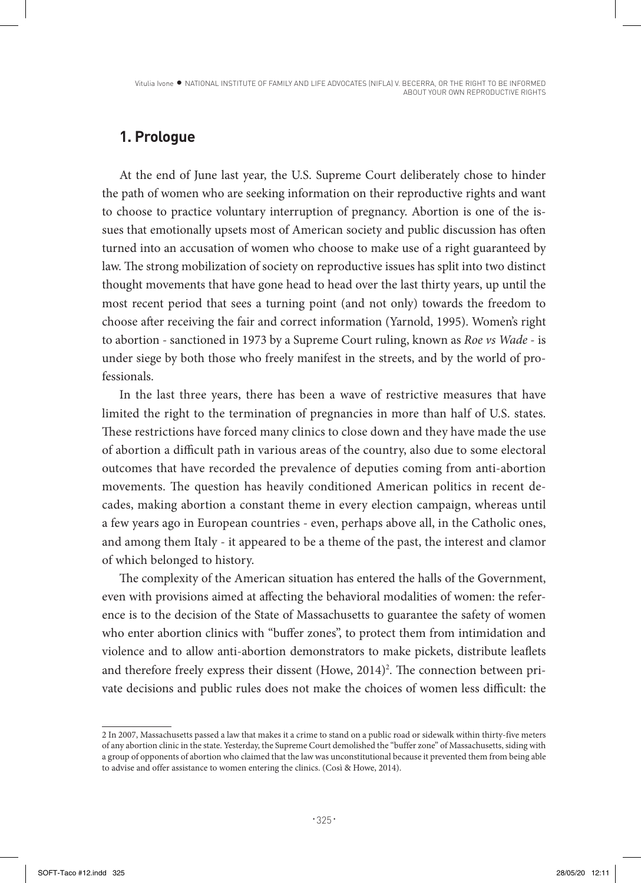Vitulia Ivone · NATIONAL INSTITUTE OF FAMILY AND LIFE ADVOCATES (NIFLA) V. BECERRA, OR THE RIGHT TO BE INFORMED ABOUT YOUR OWN REPRODUCTIVE RIGHTS

# **1. Prologue**

At the end of June last year, the U.S. Supreme Court deliberately chose to hinder the path of women who are seeking information on their reproductive rights and want to choose to practice voluntary interruption of pregnancy. Abortion is one of the issues that emotionally upsets most of American society and public discussion has often turned into an accusation of women who choose to make use of a right guaranteed by law. The strong mobilization of society on reproductive issues has split into two distinct thought movements that have gone head to head over the last thirty years, up until the most recent period that sees a turning point (and not only) towards the freedom to choose after receiving the fair and correct information (Yarnold, 1995). Women's right to abortion - sanctioned in 1973 by a Supreme Court ruling, known as *Roe vs Wade* - is under siege by both those who freely manifest in the streets, and by the world of professionals.

In the last three years, there has been a wave of restrictive measures that have limited the right to the termination of pregnancies in more than half of U.S. states. These restrictions have forced many clinics to close down and they have made the use of abortion a difficult path in various areas of the country, also due to some electoral outcomes that have recorded the prevalence of deputies coming from anti-abortion movements. The question has heavily conditioned American politics in recent decades, making abortion a constant theme in every election campaign, whereas until a few years ago in European countries - even, perhaps above all, in the Catholic ones, and among them Italy - it appeared to be a theme of the past, the interest and clamor of which belonged to history.

The complexity of the American situation has entered the halls of the Government, even with provisions aimed at affecting the behavioral modalities of women: the reference is to the decision of the State of Massachusetts to guarantee the safety of women who enter abortion clinics with "buffer zones", to protect them from intimidation and violence and to allow anti-abortion demonstrators to make pickets, distribute leaflets and therefore freely express their dissent (Howe, 2014)<sup>2</sup>. The connection between private decisions and public rules does not make the choices of women less difficult: the

<sup>2</sup> In 2007, Massachusetts passed a law that makes it a crime to stand on a public road or sidewalk within thirty-five meters of any abortion clinic in the state. Yesterday, the Supreme Court demolished the "buffer zone" of Massachusetts, siding with a group of opponents of abortion who claimed that the law was unconstitutional because it prevented them from being able to advise and offer assistance to women entering the clinics. (Così & Howe, 2014).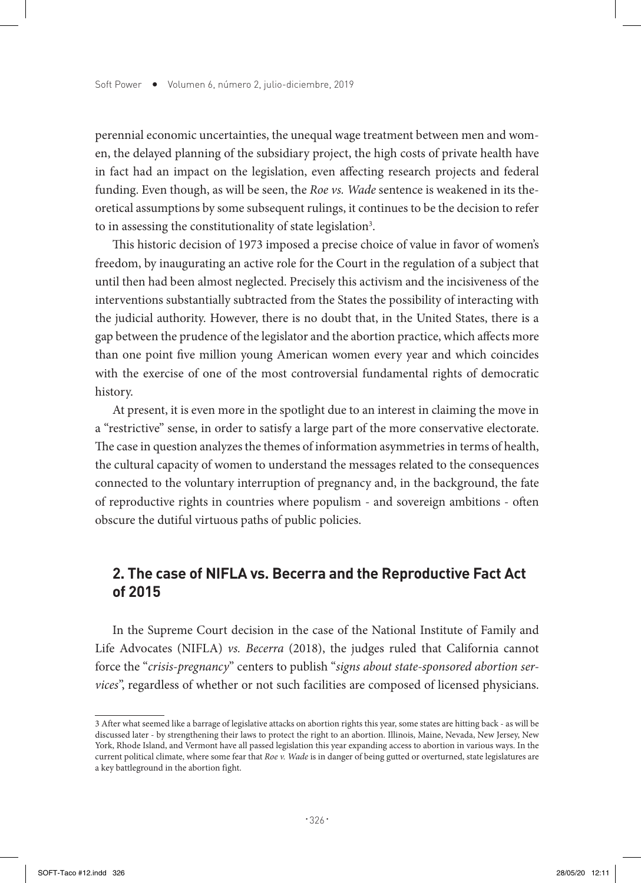perennial economic uncertainties, the unequal wage treatment between men and women, the delayed planning of the subsidiary project, the high costs of private health have in fact had an impact on the legislation, even affecting research projects and federal funding. Even though, as will be seen, the *Roe vs. Wade* sentence is weakened in its theoretical assumptions by some subsequent rulings, it continues to be the decision to refer to in assessing the constitutionality of state legislation<sup>3</sup>.

This historic decision of 1973 imposed a precise choice of value in favor of women's freedom, by inaugurating an active role for the Court in the regulation of a subject that until then had been almost neglected. Precisely this activism and the incisiveness of the interventions substantially subtracted from the States the possibility of interacting with the judicial authority. However, there is no doubt that, in the United States, there is a gap between the prudence of the legislator and the abortion practice, which affects more than one point five million young American women every year and which coincides with the exercise of one of the most controversial fundamental rights of democratic history.

At present, it is even more in the spotlight due to an interest in claiming the move in a "restrictive" sense, in order to satisfy a large part of the more conservative electorate. The case in question analyzes the themes of information asymmetries in terms of health, the cultural capacity of women to understand the messages related to the consequences connected to the voluntary interruption of pregnancy and, in the background, the fate of reproductive rights in countries where populism - and sovereign ambitions - often obscure the dutiful virtuous paths of public policies.

## **2. The case of NIFLA vs. Becerra and the Reproductive Fact Act of 2015**

In the Supreme Court decision in the case of the National Institute of Family and Life Advocates (NIFLA) *vs. Becerra* (2018), the judges ruled that California cannot force the "*crisis-pregnancy*" centers to publish "*signs about state-sponsored abortion services*", regardless of whether or not such facilities are composed of licensed physicians.

<sup>3</sup> After what seemed like a barrage of legislative attacks on abortion rights this year, some states are hitting back - as will be discussed later - by strengthening their laws to protect the right to an abortion. Illinois, Maine, Nevada, New Jersey, New York, Rhode Island, and Vermont have all passed legislation this year expanding access to abortion in various ways. In the current political climate, where some fear that *Roe v. Wade* is in danger of being gutted or overturned, state legislatures are a key battleground in the abortion fight.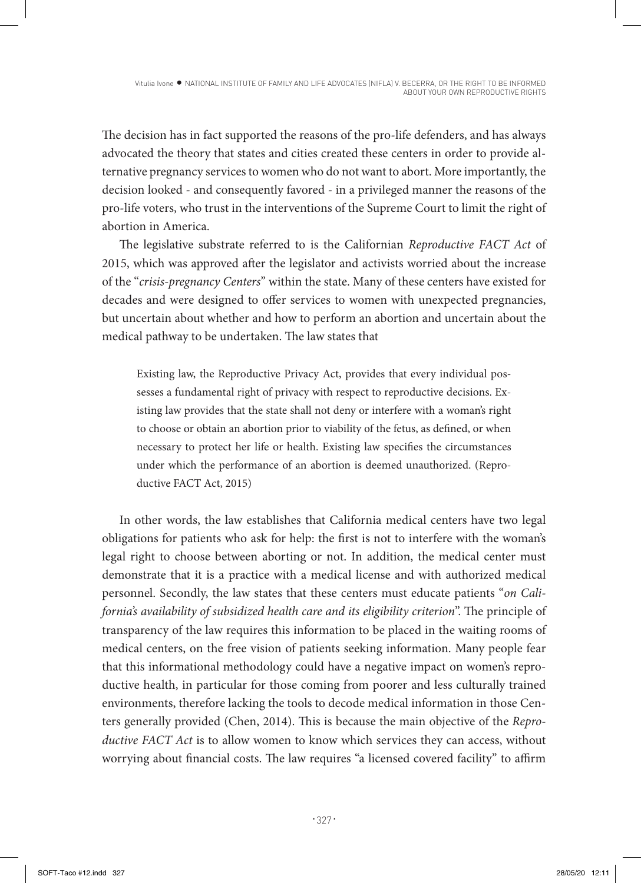The decision has in fact supported the reasons of the pro-life defenders, and has always advocated the theory that states and cities created these centers in order to provide alternative pregnancy services to women who do not want to abort. More importantly, the decision looked - and consequently favored - in a privileged manner the reasons of the pro-life voters, who trust in the interventions of the Supreme Court to limit the right of abortion in America.

The legislative substrate referred to is the Californian *Reproductive FACT Act* of 2015, which was approved after the legislator and activists worried about the increase of the "*crisis-pregnancy Centers*" within the state. Many of these centers have existed for decades and were designed to offer services to women with unexpected pregnancies, but uncertain about whether and how to perform an abortion and uncertain about the medical pathway to be undertaken. The law states that

Existing law, the Reproductive Privacy Act, provides that every individual possesses a fundamental right of privacy with respect to reproductive decisions. Existing law provides that the state shall not deny or interfere with a woman's right to choose or obtain an abortion prior to viability of the fetus, as defined, or when necessary to protect her life or health. Existing law specifies the circumstances under which the performance of an abortion is deemed unauthorized. (Reproductive FACT Act, 2015)

In other words, the law establishes that California medical centers have two legal obligations for patients who ask for help: the first is not to interfere with the woman's legal right to choose between aborting or not. In addition, the medical center must demonstrate that it is a practice with a medical license and with authorized medical personnel. Secondly, the law states that these centers must educate patients "*on California's availability of subsidized health care and its eligibility criterion*". The principle of transparency of the law requires this information to be placed in the waiting rooms of medical centers, on the free vision of patients seeking information. Many people fear that this informational methodology could have a negative impact on women's reproductive health, in particular for those coming from poorer and less culturally trained environments, therefore lacking the tools to decode medical information in those Centers generally provided (Chen, 2014). This is because the main objective of the *Reproductive FACT Act* is to allow women to know which services they can access, without worrying about financial costs. The law requires "a licensed covered facility" to affirm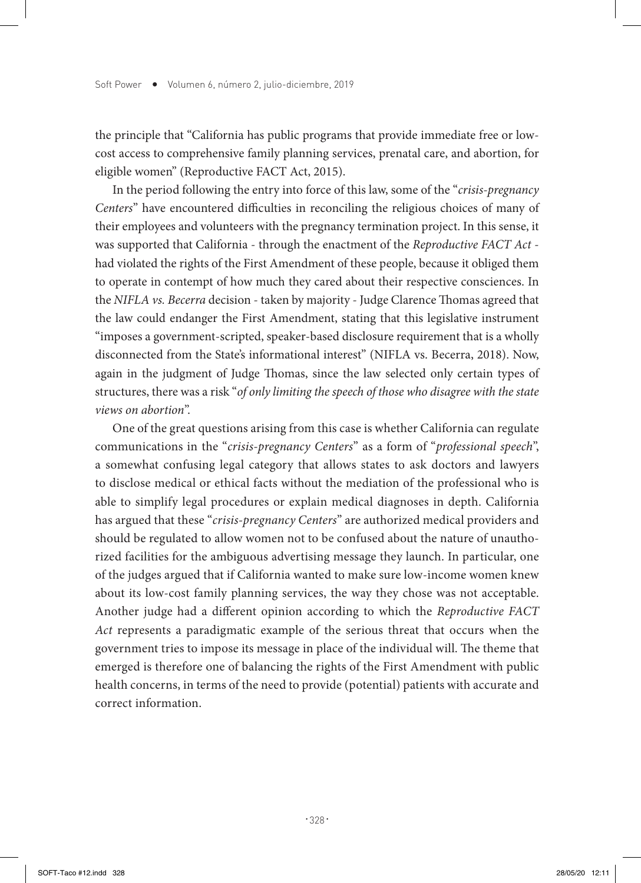the principle that "California has public programs that provide immediate free or lowcost access to comprehensive family planning services, prenatal care, and abortion, for eligible women" (Reproductive FACT Act, 2015).

In the period following the entry into force of this law, some of the "*crisis-pregnancy Centers*" have encountered difficulties in reconciling the religious choices of many of their employees and volunteers with the pregnancy termination project. In this sense, it was supported that California - through the enactment of the *Reproductive FACT Act* had violated the rights of the First Amendment of these people, because it obliged them to operate in contempt of how much they cared about their respective consciences. In the *NIFLA vs. Becerra* decision - taken by majority - Judge Clarence Thomas agreed that the law could endanger the First Amendment, stating that this legislative instrument "imposes a government-scripted, speaker-based disclosure requirement that is a wholly disconnected from the State's informational interest" (NIFLA vs. Becerra, 2018). Now, again in the judgment of Judge Thomas, since the law selected only certain types of structures, there was a risk "*of only limiting the speech of those who disagree with the state views on abortion*".

One of the great questions arising from this case is whether California can regulate communications in the "*crisis-pregnancy Centers*" as a form of "*professional speech*", a somewhat confusing legal category that allows states to ask doctors and lawyers to disclose medical or ethical facts without the mediation of the professional who is able to simplify legal procedures or explain medical diagnoses in depth. California has argued that these "*crisis-pregnancy Centers*" are authorized medical providers and should be regulated to allow women not to be confused about the nature of unauthorized facilities for the ambiguous advertising message they launch. In particular, one of the judges argued that if California wanted to make sure low-income women knew about its low-cost family planning services, the way they chose was not acceptable. Another judge had a different opinion according to which the *Reproductive FACT Act* represents a paradigmatic example of the serious threat that occurs when the government tries to impose its message in place of the individual will. The theme that emerged is therefore one of balancing the rights of the First Amendment with public health concerns, in terms of the need to provide (potential) patients with accurate and correct information.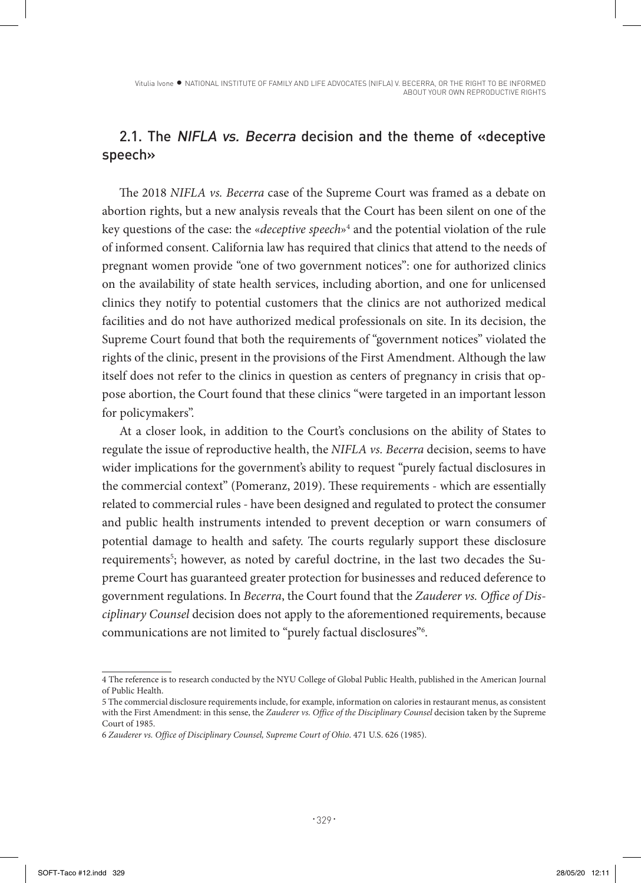Vitulia Ivone · NATIONAL INSTITUTE OF FAMILY AND LIFE ADVOCATES (NIFLA) V. BECERRA, OR THE RIGHT TO BE INFORMED ABOUT YOUR OWN REPRODUCTIVE RIGHTS

## 2.1. The NIFLA vs. Becerra decision and the theme of «deceptive speech»

The 2018 *NIFLA vs. Becerra* case of the Supreme Court was framed as a debate on abortion rights, but a new analysis reveals that the Court has been silent on one of the key questions of the case: the «*deceptive speech*»4 and the potential violation of the rule of informed consent. California law has required that clinics that attend to the needs of pregnant women provide "one of two government notices": one for authorized clinics on the availability of state health services, including abortion, and one for unlicensed clinics they notify to potential customers that the clinics are not authorized medical facilities and do not have authorized medical professionals on site. In its decision, the Supreme Court found that both the requirements of "government notices" violated the rights of the clinic, present in the provisions of the First Amendment. Although the law itself does not refer to the clinics in question as centers of pregnancy in crisis that oppose abortion, the Court found that these clinics "were targeted in an important lesson for policymakers".

At a closer look, in addition to the Court's conclusions on the ability of States to regulate the issue of reproductive health, the *NIFLA vs. Becerra* decision, seems to have wider implications for the government's ability to request "purely factual disclosures in the commercial context" (Pomeranz, 2019). These requirements - which are essentially related to commercial rules - have been designed and regulated to protect the consumer and public health instruments intended to prevent deception or warn consumers of potential damage to health and safety. The courts regularly support these disclosure requirements<sup>5</sup>; however, as noted by careful doctrine, in the last two decades the Supreme Court has guaranteed greater protection for businesses and reduced deference to government regulations. In *Becerra*, the Court found that the *Zauderer vs. Office of Disciplinary Counsel* decision does not apply to the aforementioned requirements, because communications are not limited to "purely factual disclosures"6 .

<sup>4</sup> The reference is to research conducted by the NYU College of Global Public Health, published in the American Journal of Public Health.

<sup>5</sup> The commercial disclosure requirements include, for example, information on calories in restaurant menus, as consistent with the First Amendment: in this sense, the *Zauderer vs. Office of the Disciplinary Counsel* decision taken by the Supreme Court of 1985.

<sup>6</sup> *Zauderer vs. Office of Disciplinary Counsel, Supreme Court of Ohio*. 471 U.S. 626 (1985).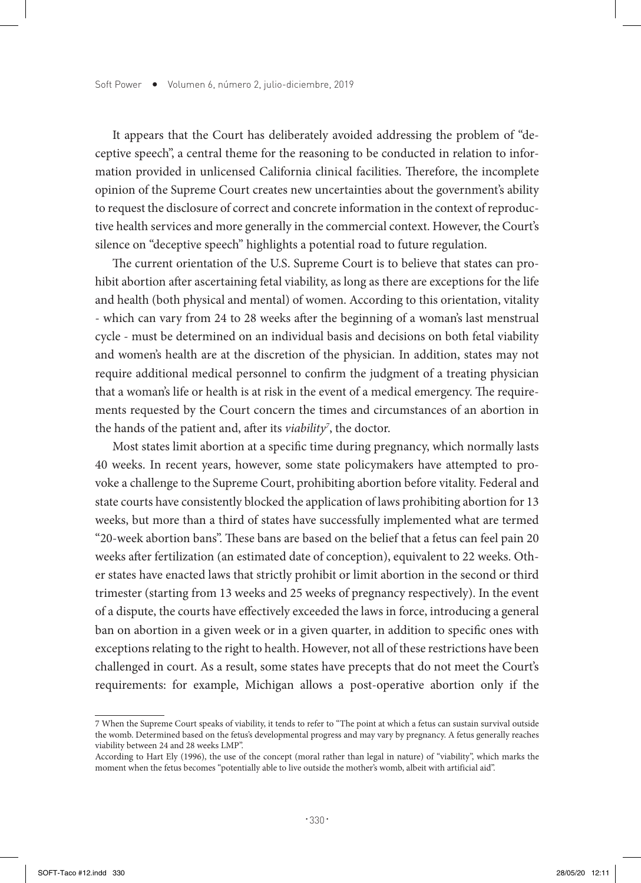It appears that the Court has deliberately avoided addressing the problem of "deceptive speech", a central theme for the reasoning to be conducted in relation to information provided in unlicensed California clinical facilities. Therefore, the incomplete opinion of the Supreme Court creates new uncertainties about the government's ability to request the disclosure of correct and concrete information in the context of reproductive health services and more generally in the commercial context. However, the Court's silence on "deceptive speech" highlights a potential road to future regulation.

The current orientation of the U.S. Supreme Court is to believe that states can prohibit abortion after ascertaining fetal viability, as long as there are exceptions for the life and health (both physical and mental) of women. According to this orientation, vitality - which can vary from 24 to 28 weeks after the beginning of a woman's last menstrual cycle - must be determined on an individual basis and decisions on both fetal viability and women's health are at the discretion of the physician. In addition, states may not require additional medical personnel to confirm the judgment of a treating physician that a woman's life or health is at risk in the event of a medical emergency. The requirements requested by the Court concern the times and circumstances of an abortion in the hands of the patient and, after its *viability7* , the doctor.

Most states limit abortion at a specific time during pregnancy, which normally lasts 40 weeks. In recent years, however, some state policymakers have attempted to provoke a challenge to the Supreme Court, prohibiting abortion before vitality. Federal and state courts have consistently blocked the application of laws prohibiting abortion for 13 weeks, but more than a third of states have successfully implemented what are termed "20-week abortion bans". These bans are based on the belief that a fetus can feel pain 20 weeks after fertilization (an estimated date of conception), equivalent to 22 weeks. Other states have enacted laws that strictly prohibit or limit abortion in the second or third trimester (starting from 13 weeks and 25 weeks of pregnancy respectively). In the event of a dispute, the courts have effectively exceeded the laws in force, introducing a general ban on abortion in a given week or in a given quarter, in addition to specific ones with exceptions relating to the right to health. However, not all of these restrictions have been challenged in court. As a result, some states have precepts that do not meet the Court's requirements: for example, Michigan allows a post-operative abortion only if the

<sup>7</sup> When the Supreme Court speaks of viability, it tends to refer to "The point at which a fetus can sustain survival outside the womb. Determined based on the fetus's developmental progress and may vary by pregnancy. A fetus generally reaches viability between 24 and 28 weeks LMP".

According to Hart Ely (1996), the use of the concept (moral rather than legal in nature) of "viability", which marks the moment when the fetus becomes "potentially able to live outside the mother's womb, albeit with artificial aid".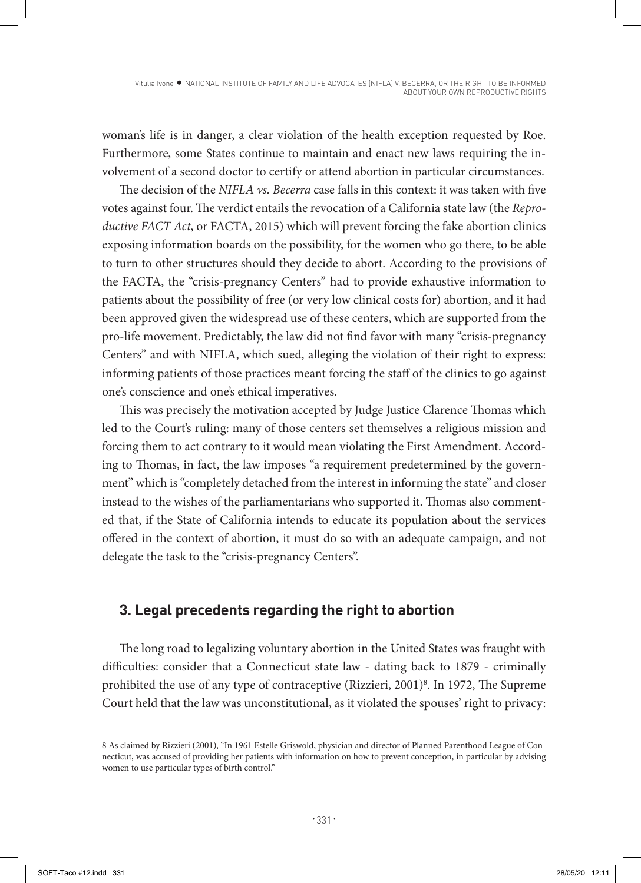woman's life is in danger, a clear violation of the health exception requested by Roe. Furthermore, some States continue to maintain and enact new laws requiring the involvement of a second doctor to certify or attend abortion in particular circumstances.

The decision of the *NIFLA vs. Becerra* case falls in this context: it was taken with five votes against four. The verdict entails the revocation of a California state law (the *Reproductive FACT Act*, or FACTA, 2015) which will prevent forcing the fake abortion clinics exposing information boards on the possibility, for the women who go there, to be able to turn to other structures should they decide to abort. According to the provisions of the FACTA, the "crisis-pregnancy Centers" had to provide exhaustive information to patients about the possibility of free (or very low clinical costs for) abortion, and it had been approved given the widespread use of these centers, which are supported from the pro-life movement. Predictably, the law did not find favor with many "crisis-pregnancy Centers" and with NIFLA, which sued, alleging the violation of their right to express: informing patients of those practices meant forcing the staff of the clinics to go against one's conscience and one's ethical imperatives.

This was precisely the motivation accepted by Judge Justice Clarence Thomas which led to the Court's ruling: many of those centers set themselves a religious mission and forcing them to act contrary to it would mean violating the First Amendment. According to Thomas, in fact, the law imposes "a requirement predetermined by the government" which is "completely detached from the interest in informing the state" and closer instead to the wishes of the parliamentarians who supported it. Thomas also commented that, if the State of California intends to educate its population about the services offered in the context of abortion, it must do so with an adequate campaign, and not delegate the task to the "crisis-pregnancy Centers".

# **3. Legal precedents regarding the right to abortion**

The long road to legalizing voluntary abortion in the United States was fraught with difficulties: consider that a Connecticut state law - dating back to 1879 - criminally prohibited the use of any type of contraceptive (Rizzieri, 2001)<sup>8</sup>. In 1972, The Supreme Court held that the law was unconstitutional, as it violated the spouses' right to privacy:

<sup>8</sup> As claimed by Rizzieri (2001), "In 1961 Estelle Griswold, physician and director of Planned Parenthood League of Connecticut, was accused of providing her patients with information on how to prevent conception, in particular by advising women to use particular types of birth control."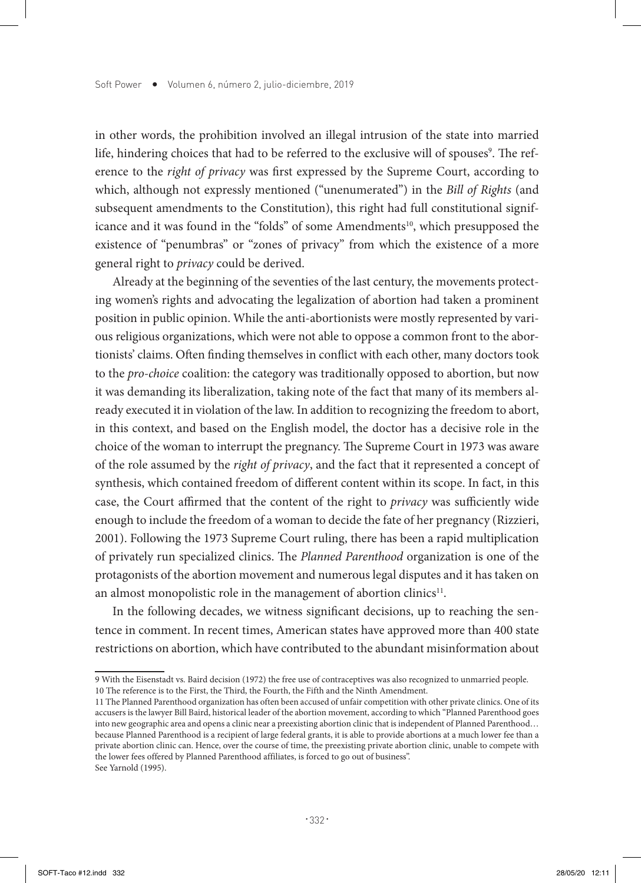in other words, the prohibition involved an illegal intrusion of the state into married life, hindering choices that had to be referred to the exclusive will of spouses<sup>9</sup>. The reference to the *right of privacy* was first expressed by the Supreme Court, according to which, although not expressly mentioned ("unenumerated") in the *Bill of Rights* (and subsequent amendments to the Constitution), this right had full constitutional significance and it was found in the "folds" of some Amendments<sup>10</sup>, which presupposed the existence of "penumbras" or "zones of privacy" from which the existence of a more general right to *privacy* could be derived.

Already at the beginning of the seventies of the last century, the movements protecting women's rights and advocating the legalization of abortion had taken a prominent position in public opinion. While the anti-abortionists were mostly represented by various religious organizations, which were not able to oppose a common front to the abortionists' claims. Often finding themselves in conflict with each other, many doctors took to the *pro-choice* coalition: the category was traditionally opposed to abortion, but now it was demanding its liberalization, taking note of the fact that many of its members already executed it in violation of the law. In addition to recognizing the freedom to abort, in this context, and based on the English model, the doctor has a decisive role in the choice of the woman to interrupt the pregnancy. The Supreme Court in 1973 was aware of the role assumed by the *right of privacy*, and the fact that it represented a concept of synthesis, which contained freedom of different content within its scope. In fact, in this case, the Court affirmed that the content of the right to *privacy* was sufficiently wide enough to include the freedom of a woman to decide the fate of her pregnancy (Rizzieri, 2001). Following the 1973 Supreme Court ruling, there has been a rapid multiplication of privately run specialized clinics. The *Planned Parenthood* organization is one of the protagonists of the abortion movement and numerous legal disputes and it has taken on an almost monopolistic role in the management of abortion clinics<sup>11</sup>.

In the following decades, we witness significant decisions, up to reaching the sentence in comment. In recent times, American states have approved more than 400 state restrictions on abortion, which have contributed to the abundant misinformation about

<sup>9</sup> With the Eisenstadt vs. Baird decision (1972) the free use of contraceptives was also recognized to unmarried people. 10 The reference is to the First, the Third, the Fourth, the Fifth and the Ninth Amendment.

<sup>11</sup> The Planned Parenthood organization has often been accused of unfair competition with other private clinics. One of its accusers is the lawyer Bill Baird, historical leader of the abortion movement, according to which "Planned Parenthood goes into new geographic area and opens a clinic near a preexisting abortion clinic that is independent of Planned Parenthood… because Planned Parenthood is a recipient of large federal grants, it is able to provide abortions at a much lower fee than a private abortion clinic can. Hence, over the course of time, the preexisting private abortion clinic, unable to compete with the lower fees offered by Planned Parenthood affiliates, is forced to go out of business". See Yarnold (1995).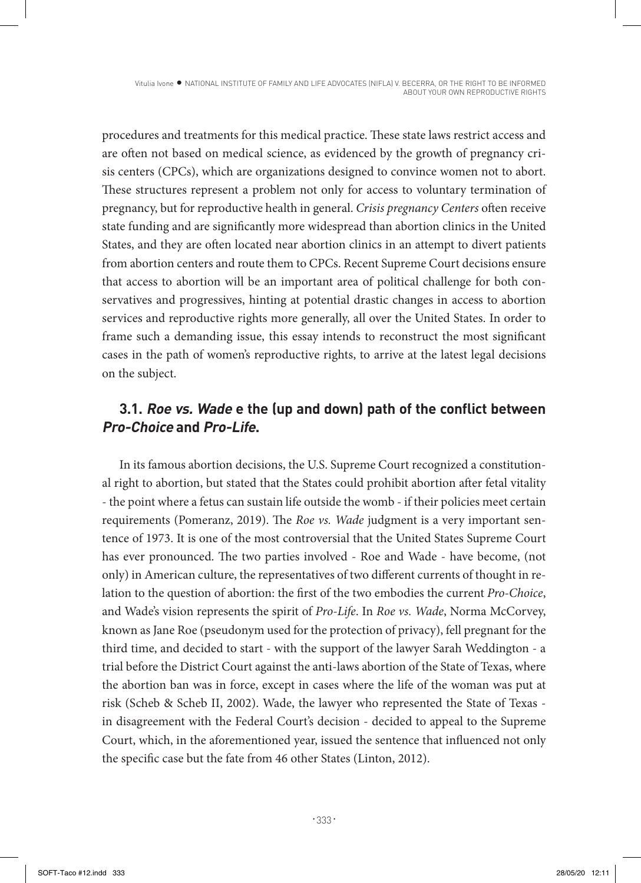Vitulia Ivone · NATIONAL INSTITUTE OF FAMILY AND LIFE ADVOCATES (NIFLA) V. BECERRA, OR THE RIGHT TO BE INFORMED ABOUT YOUR OWN REPRODUCTIVE RIGHTS

procedures and treatments for this medical practice. These state laws restrict access and are often not based on medical science, as evidenced by the growth of pregnancy crisis centers (CPCs), which are organizations designed to convince women not to abort. These structures represent a problem not only for access to voluntary termination of pregnancy, but for reproductive health in general. *Crisis pregnancy Centers* often receive state funding and are significantly more widespread than abortion clinics in the United States, and they are often located near abortion clinics in an attempt to divert patients from abortion centers and route them to CPCs. Recent Supreme Court decisions ensure that access to abortion will be an important area of political challenge for both conservatives and progressives, hinting at potential drastic changes in access to abortion services and reproductive rights more generally, all over the United States. In order to frame such a demanding issue, this essay intends to reconstruct the most significant cases in the path of women's reproductive rights, to arrive at the latest legal decisions on the subject.

## **3.1. Roe vs. Wade e the (up and down) path of the conflict between Pro-Choice and Pro-Life.**

In its famous abortion decisions, the U.S. Supreme Court recognized a constitutional right to abortion, but stated that the States could prohibit abortion after fetal vitality - the point where a fetus can sustain life outside the womb - if their policies meet certain requirements (Pomeranz, 2019). The *Roe vs. Wade* judgment is a very important sentence of 1973. It is one of the most controversial that the United States Supreme Court has ever pronounced. The two parties involved - Roe and Wade - have become, (not only) in American culture, the representatives of two different currents of thought in relation to the question of abortion: the first of the two embodies the current *Pro-Choice*, and Wade's vision represents the spirit of *Pro-Life*. In *Roe vs. Wade*, Norma McCorvey, known as Jane Roe (pseudonym used for the protection of privacy), fell pregnant for the third time, and decided to start - with the support of the lawyer Sarah Weddington - a trial before the District Court against the anti-laws abortion of the State of Texas, where the abortion ban was in force, except in cases where the life of the woman was put at risk (Scheb & Scheb II, 2002). Wade, the lawyer who represented the State of Texas in disagreement with the Federal Court's decision - decided to appeal to the Supreme Court, which, in the aforementioned year, issued the sentence that influenced not only the specific case but the fate from 46 other States (Linton, 2012).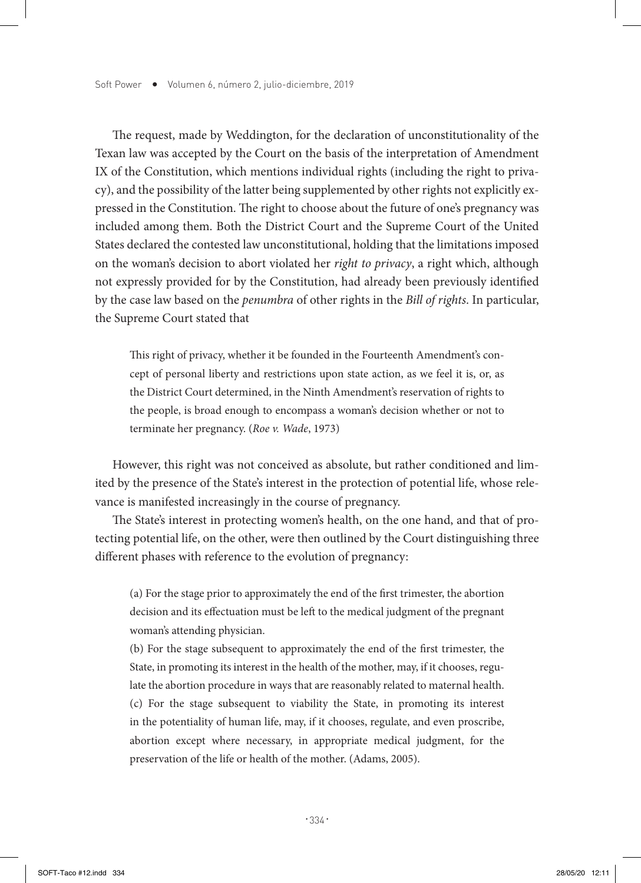The request, made by Weddington, for the declaration of unconstitutionality of the Texan law was accepted by the Court on the basis of the interpretation of Amendment IX of the Constitution, which mentions individual rights (including the right to privacy), and the possibility of the latter being supplemented by other rights not explicitly expressed in the Constitution. The right to choose about the future of one's pregnancy was included among them. Both the District Court and the Supreme Court of the United States declared the contested law unconstitutional, holding that the limitations imposed on the woman's decision to abort violated her *right to privacy*, a right which, although not expressly provided for by the Constitution, had already been previously identified by the case law based on the *penumbra* of other rights in the *Bill of rights*. In particular, the Supreme Court stated that

This right of privacy, whether it be founded in the Fourteenth Amendment's concept of personal liberty and restrictions upon state action, as we feel it is, or, as the District Court determined, in the Ninth Amendment's reservation of rights to the people, is broad enough to encompass a woman's decision whether or not to terminate her pregnancy. (*Roe v. Wade*, 1973)

However, this right was not conceived as absolute, but rather conditioned and limited by the presence of the State's interest in the protection of potential life, whose relevance is manifested increasingly in the course of pregnancy.

The State's interest in protecting women's health, on the one hand, and that of protecting potential life, on the other, were then outlined by the Court distinguishing three different phases with reference to the evolution of pregnancy:

(a) For the stage prior to approximately the end of the first trimester, the abortion decision and its effectuation must be left to the medical judgment of the pregnant woman's attending physician.

(b) For the stage subsequent to approximately the end of the first trimester, the State, in promoting its interest in the health of the mother, may, if it chooses, regulate the abortion procedure in ways that are reasonably related to maternal health. (c) For the stage subsequent to viability the State, in promoting its interest in the potentiality of human life, may, if it chooses, regulate, and even proscribe, abortion except where necessary, in appropriate medical judgment, for the preservation of the life or health of the mother. (Adams, 2005).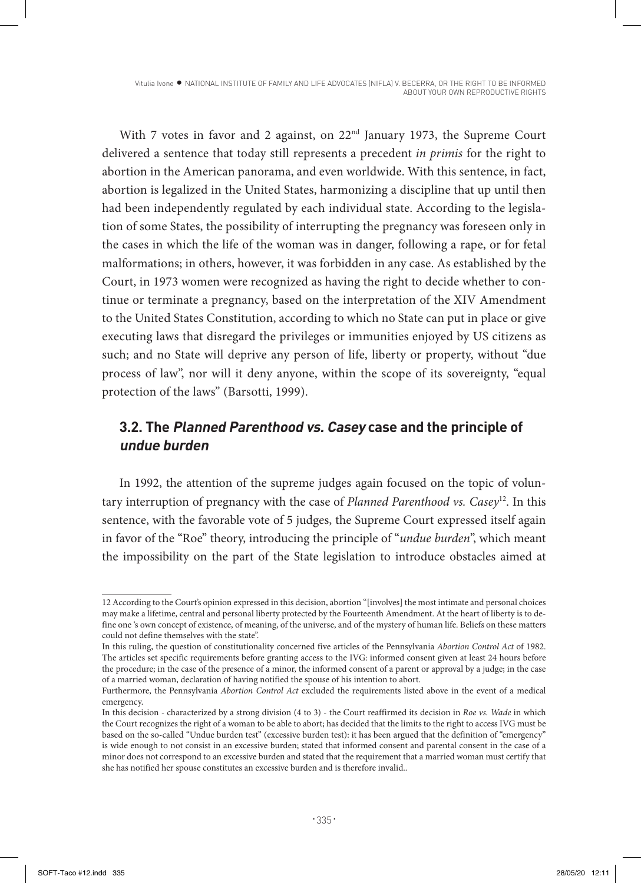Vitulia Ivone · NATIONAL INSTITUTE OF FAMILY AND LIFE ADVOCATES (NIFLA) V. BECERRA, OR THE RIGHT TO BE INFORMED ABOUT YOUR OWN REPRODUCTIVE RIGHTS

With 7 votes in favor and 2 against, on 22<sup>nd</sup> January 1973, the Supreme Court delivered a sentence that today still represents a precedent *in primis* for the right to abortion in the American panorama, and even worldwide. With this sentence, in fact, abortion is legalized in the United States, harmonizing a discipline that up until then had been independently regulated by each individual state. According to the legislation of some States, the possibility of interrupting the pregnancy was foreseen only in the cases in which the life of the woman was in danger, following a rape, or for fetal malformations; in others, however, it was forbidden in any case. As established by the Court, in 1973 women were recognized as having the right to decide whether to continue or terminate a pregnancy, based on the interpretation of the XIV Amendment to the United States Constitution, according to which no State can put in place or give executing laws that disregard the privileges or immunities enjoyed by US citizens as such; and no State will deprive any person of life, liberty or property, without "due process of law", nor will it deny anyone, within the scope of its sovereignty, "equal protection of the laws" (Barsotti, 1999).

# **3.2. The Planned Parenthood vs. Casey case and the principle of undue burden**

In 1992, the attention of the supreme judges again focused on the topic of voluntary interruption of pregnancy with the case of *Planned Parenthood vs. Casey*12. In this sentence, with the favorable vote of 5 judges, the Supreme Court expressed itself again in favor of the "Roe" theory, introducing the principle of "*undue burden*", which meant the impossibility on the part of the State legislation to introduce obstacles aimed at

<sup>12</sup> According to the Court's opinion expressed in this decision, abortion "[involves] the most intimate and personal choices may make a lifetime, central and personal liberty protected by the Fourteenth Amendment. At the heart of liberty is to define one 's own concept of existence, of meaning, of the universe, and of the mystery of human life. Beliefs on these matters could not define themselves with the state".

In this ruling, the question of constitutionality concerned five articles of the Pennsylvania *Abortion Control Act* of 1982. The articles set specific requirements before granting access to the IVG: informed consent given at least 24 hours before the procedure; in the case of the presence of a minor, the informed consent of a parent or approval by a judge; in the case of a married woman, declaration of having notified the spouse of his intention to abort.

Furthermore, the Pennsylvania *Abortion Control Act* excluded the requirements listed above in the event of a medical emergency.

In this decision - characterized by a strong division (4 to 3) - the Court reaffirmed its decision in *Roe vs. Wade* in which the Court recognizes the right of a woman to be able to abort; has decided that the limits to the right to access IVG must be based on the so-called "Undue burden test" (excessive burden test): it has been argued that the definition of "emergency" is wide enough to not consist in an excessive burden; stated that informed consent and parental consent in the case of a minor does not correspond to an excessive burden and stated that the requirement that a married woman must certify that she has notified her spouse constitutes an excessive burden and is therefore invalid..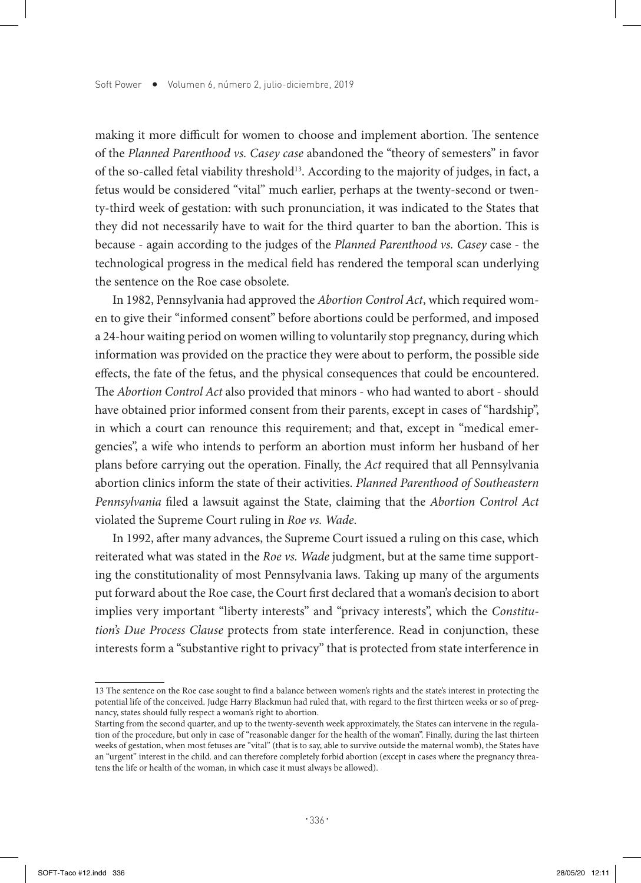making it more difficult for women to choose and implement abortion. The sentence of the *Planned Parenthood vs. Casey case* abandoned the "theory of semesters" in favor of the so-called fetal viability threshold<sup>13</sup>. According to the majority of judges, in fact, a fetus would be considered "vital" much earlier, perhaps at the twenty-second or twenty-third week of gestation: with such pronunciation, it was indicated to the States that they did not necessarily have to wait for the third quarter to ban the abortion. This is because - again according to the judges of the *Planned Parenthood vs. Casey* case - the technological progress in the medical field has rendered the temporal scan underlying the sentence on the Roe case obsolete.

In 1982, Pennsylvania had approved the *Abortion Control Act*, which required women to give their "informed consent" before abortions could be performed, and imposed a 24-hour waiting period on women willing to voluntarily stop pregnancy, during which information was provided on the practice they were about to perform, the possible side effects, the fate of the fetus, and the physical consequences that could be encountered. The *Abortion Control Act* also provided that minors - who had wanted to abort - should have obtained prior informed consent from their parents, except in cases of "hardship", in which a court can renounce this requirement; and that, except in "medical emergencies", a wife who intends to perform an abortion must inform her husband of her plans before carrying out the operation. Finally, the *Act* required that all Pennsylvania abortion clinics inform the state of their activities. *Planned Parenthood of Southeastern Pennsylvania* filed a lawsuit against the State, claiming that the *Abortion Control Act* violated the Supreme Court ruling in *Roe vs. Wade*.

In 1992, after many advances, the Supreme Court issued a ruling on this case, which reiterated what was stated in the *Roe vs. Wade* judgment, but at the same time supporting the constitutionality of most Pennsylvania laws. Taking up many of the arguments put forward about the Roe case, the Court first declared that a woman's decision to abort implies very important "liberty interests" and "privacy interests", which the *Constitution's Due Process Clause* protects from state interference. Read in conjunction, these interests form a "substantive right to privacy" that is protected from state interference in

<sup>13</sup> The sentence on the Roe case sought to find a balance between women's rights and the state's interest in protecting the potential life of the conceived. Judge Harry Blackmun had ruled that, with regard to the first thirteen weeks or so of pregnancy, states should fully respect a woman's right to abortion.

Starting from the second quarter, and up to the twenty-seventh week approximately, the States can intervene in the regulation of the procedure, but only in case of "reasonable danger for the health of the woman". Finally, during the last thirteen weeks of gestation, when most fetuses are "vital" (that is to say, able to survive outside the maternal womb), the States have an "urgent" interest in the child. and can therefore completely forbid abortion (except in cases where the pregnancy threatens the life or health of the woman, in which case it must always be allowed).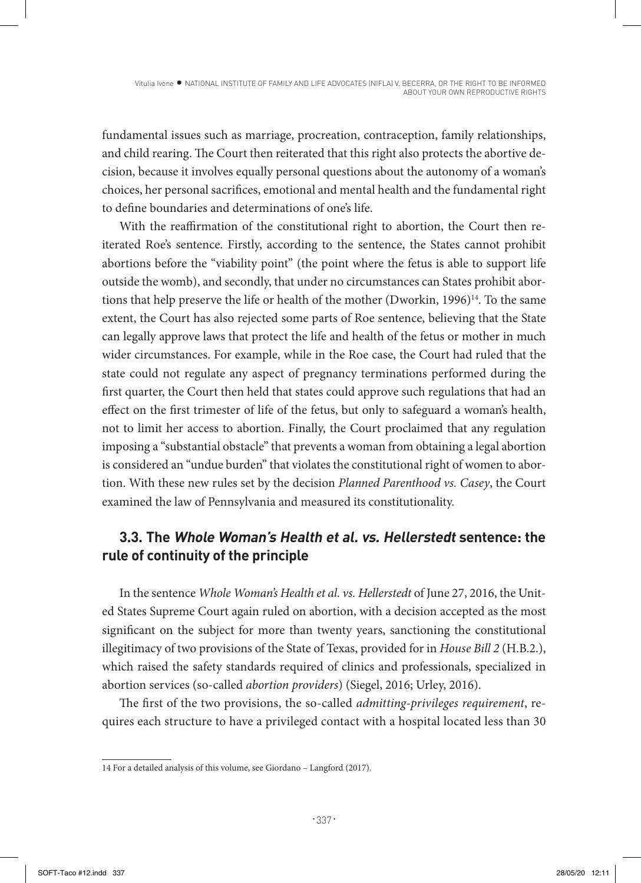fundamental issues such as marriage, procreation, contraception, family relationships, and child rearing. The Court then reiterated that this right also protects the abortive decision, because it involves equally personal questions about the autonomy of a woman's choices, her personal sacrifices, emotional and mental health and the fundamental right to define boundaries and determinations of one's life.

With the reaffirmation of the constitutional right to abortion, the Court then reiterated Roe's sentence. Firstly, according to the sentence, the States cannot prohibit abortions before the "viability point" (the point where the fetus is able to support life outside the womb), and secondly, that under no circumstances can States prohibit abortions that help preserve the life or health of the mother (Dworkin,  $1996$ <sup>14</sup>. To the same extent, the Court has also rejected some parts of Roe sentence, believing that the State can legally approve laws that protect the life and health of the fetus or mother in much wider circumstances. For example, while in the Roe case, the Court had ruled that the state could not regulate any aspect of pregnancy terminations performed during the first quarter, the Court then held that states could approve such regulations that had an effect on the first trimester of life of the fetus, but only to safeguard a woman's health, not to limit her access to abortion. Finally, the Court proclaimed that any regulation imposing a "substantial obstacle" that prevents a woman from obtaining a legal abortion is considered an "undue burden" that violates the constitutional right of women to abortion. With these new rules set by the decision *Planned Parenthood vs. Casey*, the Court examined the law of Pennsylvania and measured its constitutionality.

# **3.3. The Whole Woman's Health et al. vs. Hellerstedt sentence: the rule of continuity of the principle**

In the sentence *Whole Woman's Health et al. vs. Hellerstedt* of June 27, 2016, the United States Supreme Court again ruled on abortion, with a decision accepted as the most significant on the subject for more than twenty years, sanctioning the constitutional illegitimacy of two provisions of the State of Texas, provided for in *House Bill 2* (H.B.2.), which raised the safety standards required of clinics and professionals, specialized in abortion services (so-called *abortion providers*) (Siegel, 2016; Urley, 2016).

The first of the two provisions, the so-called *admitting-privileges requirement*, requires each structure to have a privileged contact with a hospital located less than 30

<sup>14</sup> For a detailed analysis of this volume, see Giordano – Langford (2017).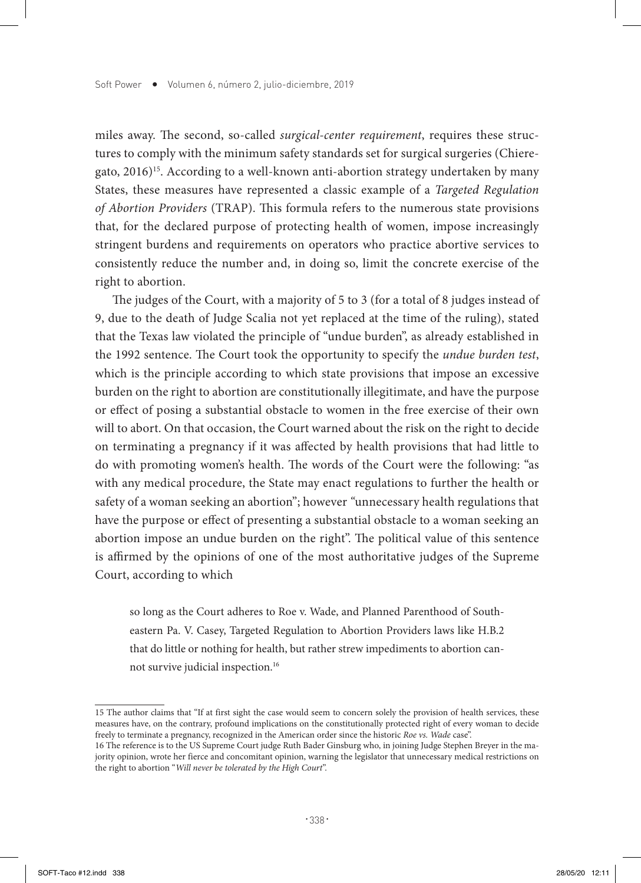miles away. The second, so-called *surgical-center requirement*, requires these structures to comply with the minimum safety standards set for surgical surgeries (Chieregato,  $2016$ <sup>15</sup>. According to a well-known anti-abortion strategy undertaken by many States, these measures have represented a classic example of a *Targeted Regulation of Abortion Providers* (TRAP). This formula refers to the numerous state provisions that, for the declared purpose of protecting health of women, impose increasingly stringent burdens and requirements on operators who practice abortive services to consistently reduce the number and, in doing so, limit the concrete exercise of the right to abortion.

The judges of the Court, with a majority of 5 to 3 (for a total of 8 judges instead of 9, due to the death of Judge Scalia not yet replaced at the time of the ruling), stated that the Texas law violated the principle of "undue burden", as already established in the 1992 sentence. The Court took the opportunity to specify the *undue burden test*, which is the principle according to which state provisions that impose an excessive burden on the right to abortion are constitutionally illegitimate, and have the purpose or effect of posing a substantial obstacle to women in the free exercise of their own will to abort. On that occasion, the Court warned about the risk on the right to decide on terminating a pregnancy if it was affected by health provisions that had little to do with promoting women's health. The words of the Court were the following: "as with any medical procedure, the State may enact regulations to further the health or safety of a woman seeking an abortion"; however *"*unnecessary health regulations that have the purpose or effect of presenting a substantial obstacle to a woman seeking an abortion impose an undue burden on the right". The political value of this sentence is affirmed by the opinions of one of the most authoritative judges of the Supreme Court, according to which

so long as the Court adheres to Roe v. Wade, and Planned Parenthood of Southeastern Pa. V. Casey, Targeted Regulation to Abortion Providers laws like H.B.2 that do little or nothing for health, but rather strew impediments to abortion cannot survive judicial inspection.16

<sup>15</sup> The author claims that "If at first sight the case would seem to concern solely the provision of health services, these measures have, on the contrary, profound implications on the constitutionally protected right of every woman to decide freely to terminate a pregnancy, recognized in the American order since the historic *Roe vs. Wade* case".

<sup>16</sup> The reference is to the US Supreme Court judge Ruth Bader Ginsburg who, in joining Judge Stephen Breyer in the majority opinion, wrote her fierce and concomitant opinion, warning the legislator that unnecessary medical restrictions on the right to abortion "*Will never be tolerated by the High Court*".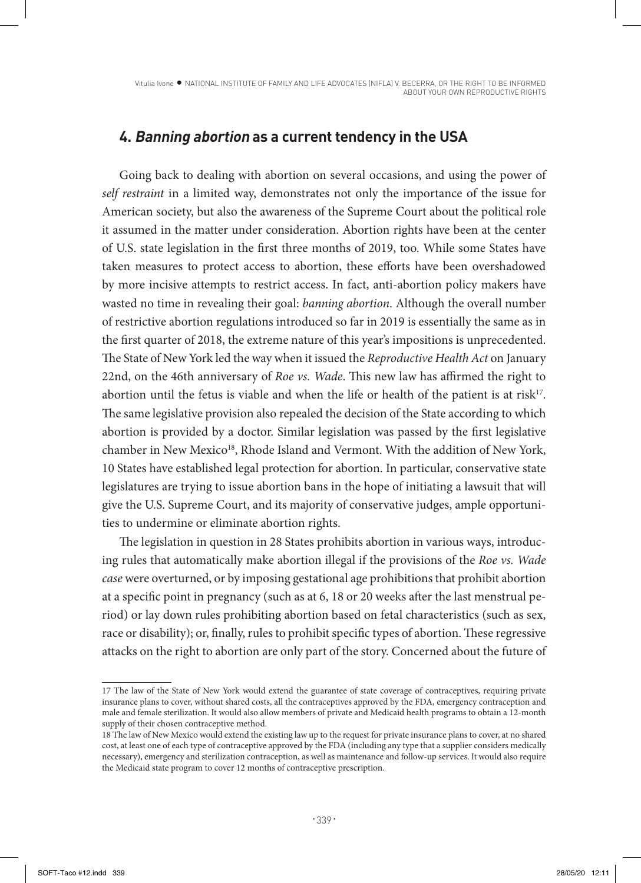## **4. Banning abortion as a current tendency in the USA**

Going back to dealing with abortion on several occasions, and using the power of *self restraint* in a limited way, demonstrates not only the importance of the issue for American society, but also the awareness of the Supreme Court about the political role it assumed in the matter under consideration. Abortion rights have been at the center of U.S. state legislation in the first three months of 2019, too. While some States have taken measures to protect access to abortion, these efforts have been overshadowed by more incisive attempts to restrict access. In fact, anti-abortion policy makers have wasted no time in revealing their goal: *banning abortion*. Although the overall number of restrictive abortion regulations introduced so far in 2019 is essentially the same as in the first quarter of 2018, the extreme nature of this year's impositions is unprecedented. The State of New York led the way when it issued the *Reproductive Health Act* on January 22nd, on the 46th anniversary of *Roe vs. Wade*. This new law has affirmed the right to abortion until the fetus is viable and when the life or health of the patient is at risk<sup>17</sup>. The same legislative provision also repealed the decision of the State according to which abortion is provided by a doctor. Similar legislation was passed by the first legislative chamber in New Mexico<sup>18</sup>, Rhode Island and Vermont. With the addition of New York, 10 States have established legal protection for abortion. In particular, conservative state legislatures are trying to issue abortion bans in the hope of initiating a lawsuit that will give the U.S. Supreme Court, and its majority of conservative judges, ample opportunities to undermine or eliminate abortion rights.

The legislation in question in 28 States prohibits abortion in various ways, introducing rules that automatically make abortion illegal if the provisions of the *Roe vs. Wade case* were overturned, or by imposing gestational age prohibitions that prohibit abortion at a specific point in pregnancy (such as at 6, 18 or 20 weeks after the last menstrual period) or lay down rules prohibiting abortion based on fetal characteristics (such as sex, race or disability); or, finally, rules to prohibit specific types of abortion. These regressive attacks on the right to abortion are only part of the story. Concerned about the future of

<sup>17</sup> The law of the State of New York would extend the guarantee of state coverage of contraceptives, requiring private insurance plans to cover, without shared costs, all the contraceptives approved by the FDA, emergency contraception and male and female sterilization. It would also allow members of private and Medicaid health programs to obtain a 12-month supply of their chosen contraceptive method.

<sup>18</sup> The law of New Mexico would extend the existing law up to the request for private insurance plans to cover, at no shared cost, at least one of each type of contraceptive approved by the FDA (including any type that a supplier considers medically necessary), emergency and sterilization contraception, as well as maintenance and follow-up services. It would also require the Medicaid state program to cover 12 months of contraceptive prescription.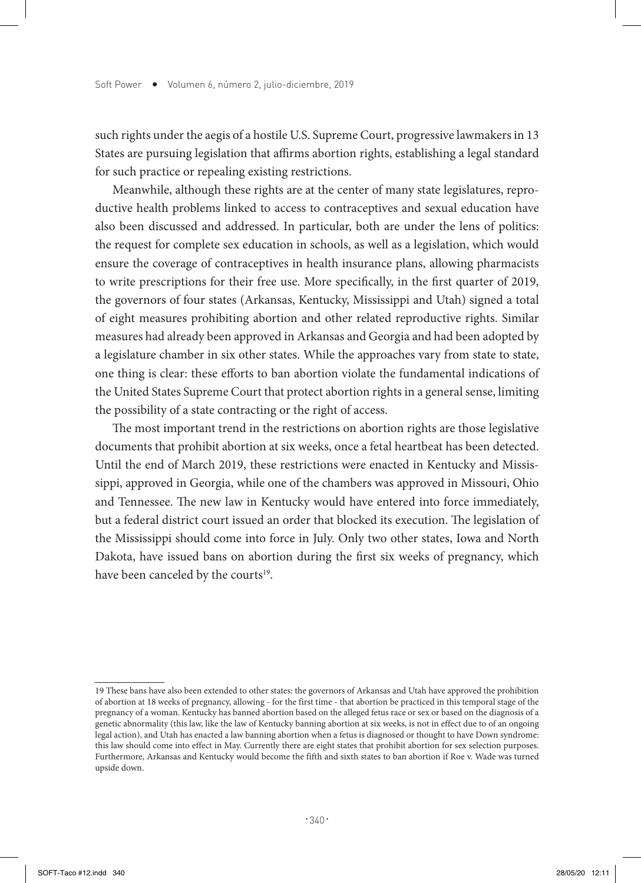such rights under the aegis of a hostile U.S. Supreme Court, progressive lawmakers in 13 States are pursuing legislation that affirms abortion rights, establishing a legal standard for such practice or repealing existing restrictions.

Meanwhile, although these rights are at the center of many state legislatures, reproductive health problems linked to access to contraceptives and sexual education have also been discussed and addressed. In particular, both are under the lens of politics: the request for complete sex education in schools, as well as a legislation, which would ensure the coverage of contraceptives in health insurance plans, allowing pharmacists to write prescriptions for their free use. More specifically, in the first quarter of 2019, the governors of four states (Arkansas, Kentucky, Mississippi and Utah) signed a total of eight measures prohibiting abortion and other related reproductive rights. Similar measures had already been approved in Arkansas and Georgia and had been adopted by a legislature chamber in six other states. While the approaches vary from state to state, one thing is clear: these efforts to ban abortion violate the fundamental indications of the United States Supreme Court that protect abortion rights in a general sense, limiting the possibility of a state contracting or the right of access.

The most important trend in the restrictions on abortion rights are those legislative documents that prohibit abortion at six weeks, once a fetal heartbeat has been detected. Until the end of March 2019, these restrictions were enacted in Kentucky and Mississippi, approved in Georgia, while one of the chambers was approved in Missouri, Ohio and Tennessee. The new law in Kentucky would have entered into force immediately, but a federal district court issued an order that blocked its execution. The legislation of the Mississippi should come into force in July. Only two other states, Iowa and North Dakota, have issued bans on abortion during the first six weeks of pregnancy, which have been canceled by the courts<sup>19</sup>.

<sup>19</sup> These bans have also been extended to other states: the governors of Arkansas and Utah have approved the prohibition of abortion at 18 weeks of pregnancy, allowing - for the first time - that abortion be practiced in this temporal stage of the pregnancy of a woman. Kentucky has banned abortion based on the alleged fetus race or sex or based on the diagnosis of a genetic abnormality (this law, like the law of Kentucky banning abortion at six weeks, is not in effect due to of an ongoing legal action), and Utah has enacted a law banning abortion when a fetus is diagnosed or thought to have Down syndrome: this law should come into effect in May. Currently there are eight states that prohibit abortion for sex selection purposes. Furthermore, Arkansas and Kentucky would become the fifth and sixth states to ban abortion if Roe v. Wade was turned upside down.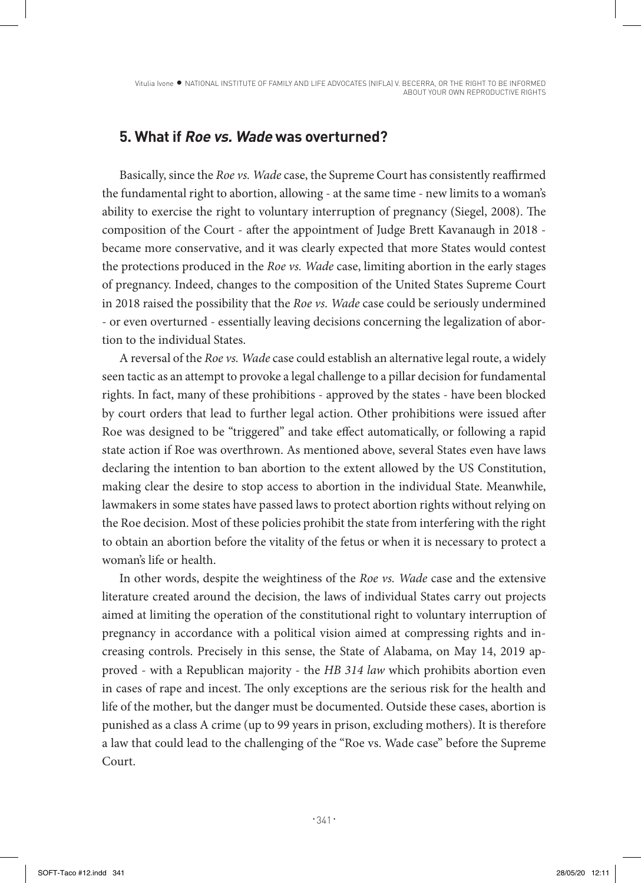## **5. What if Roe vs. Wade was overturned?**

Basically, since the *Roe vs. Wade* case, the Supreme Court has consistently reaffirmed the fundamental right to abortion, allowing - at the same time - new limits to a woman's ability to exercise the right to voluntary interruption of pregnancy (Siegel, 2008). The composition of the Court - after the appointment of Judge Brett Kavanaugh in 2018 became more conservative, and it was clearly expected that more States would contest the protections produced in the *Roe vs. Wade* case, limiting abortion in the early stages of pregnancy. Indeed, changes to the composition of the United States Supreme Court in 2018 raised the possibility that the *Roe vs. Wade* case could be seriously undermined - or even overturned - essentially leaving decisions concerning the legalization of abortion to the individual States.

A reversal of the *Roe vs. Wade* case could establish an alternative legal route, a widely seen tactic as an attempt to provoke a legal challenge to a pillar decision for fundamental rights. In fact, many of these prohibitions - approved by the states - have been blocked by court orders that lead to further legal action. Other prohibitions were issued after Roe was designed to be "triggered" and take effect automatically, or following a rapid state action if Roe was overthrown. As mentioned above, several States even have laws declaring the intention to ban abortion to the extent allowed by the US Constitution, making clear the desire to stop access to abortion in the individual State. Meanwhile, lawmakers in some states have passed laws to protect abortion rights without relying on the Roe decision. Most of these policies prohibit the state from interfering with the right to obtain an abortion before the vitality of the fetus or when it is necessary to protect a woman's life or health.

In other words, despite the weightiness of the *Roe vs. Wade* case and the extensive literature created around the decision, the laws of individual States carry out projects aimed at limiting the operation of the constitutional right to voluntary interruption of pregnancy in accordance with a political vision aimed at compressing rights and increasing controls. Precisely in this sense, the State of Alabama, on May 14, 2019 approved - with a Republican majority - the *HB 314 law* which prohibits abortion even in cases of rape and incest. The only exceptions are the serious risk for the health and life of the mother, but the danger must be documented. Outside these cases, abortion is punished as a class A crime (up to 99 years in prison, excluding mothers). It is therefore a law that could lead to the challenging of the "Roe vs. Wade case" before the Supreme Court.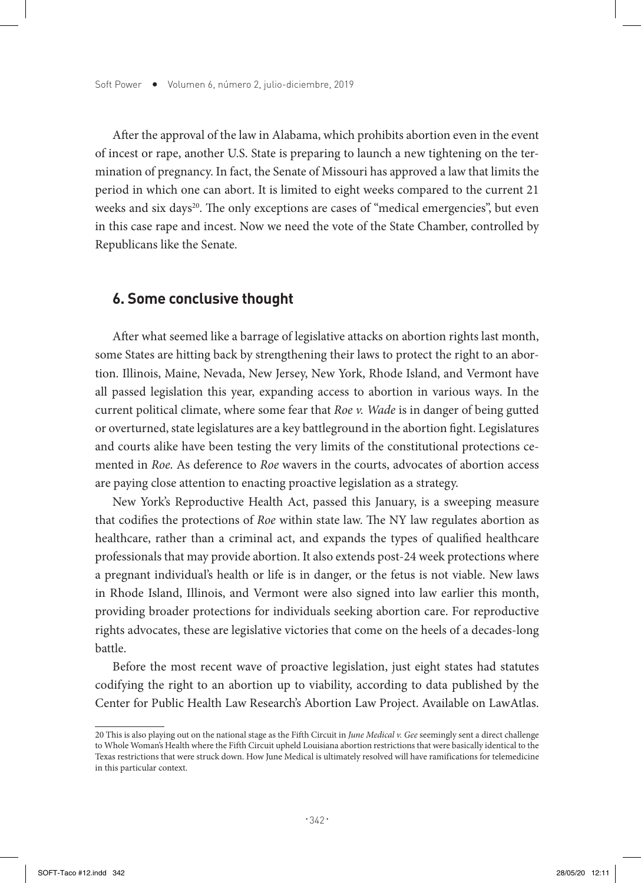After the approval of the law in Alabama, which prohibits abortion even in the event of incest or rape, another U.S. State is preparing to launch a new tightening on the termination of pregnancy. In fact, the Senate of Missouri has approved a law that limits the period in which one can abort. It is limited to eight weeks compared to the current 21 weeks and six days<sup>20</sup>. The only exceptions are cases of "medical emergencies", but even in this case rape and incest. Now we need the vote of the State Chamber, controlled by Republicans like the Senate.

#### **6. Some conclusive thought**

After what seemed like a barrage of legislative attacks on abortion rights last month, some States are hitting back by strengthening their laws to protect the right to an abortion. Illinois, Maine, Nevada, New Jersey, New York, Rhode Island, and Vermont have all passed legislation this year, expanding access to abortion in various ways. In the current political climate, where some fear that *Roe v. Wade* is in danger of being gutted or overturned, state legislatures are a key battleground in the abortion fight. Legislatures and courts alike have been testing the very limits of the constitutional protections cemented in *Roe*. As deference to *Roe* wavers in the courts, advocates of abortion access are paying close attention to enacting proactive legislation as a strategy.

New York's Reproductive Health Act, passed this January, is a sweeping measure that codifies the protections of *Roe* within state law. The NY law regulates abortion as healthcare, rather than a criminal act, and expands the types of qualified healthcare professionals that may provide abortion. It also extends post-24 week protections where a pregnant individual's health or life is in danger, or the fetus is not viable. New laws in Rhode Island, Illinois, and Vermont were also signed into law earlier this month, providing broader protections for individuals seeking abortion care. For reproductive rights advocates, these are legislative victories that come on the heels of a decades-long battle.

Before the most recent wave of proactive legislation, just eight states had statutes codifying the right to an abortion up to viability, according to data published by the Center for Public Health Law Research's Abortion Law Project. Available on LawAtlas.

<sup>20</sup> This is also playing out on the national stage as the Fifth Circuit in *June Medical v. Gee* seemingly sent a direct challenge to Whole Woman's Health where the Fifth Circuit upheld Louisiana abortion restrictions that were basically identical to the Texas restrictions that were struck down. How June Medical is ultimately resolved will have ramifications for telemedicine in this particular context.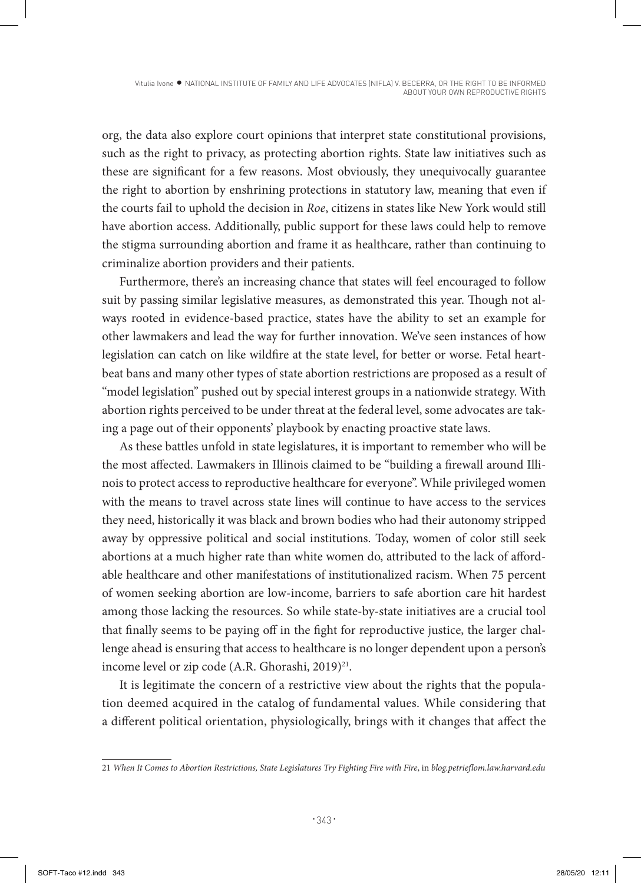org, the data also explore court opinions that interpret state constitutional provisions, such as the right to privacy, as protecting abortion rights. State law initiatives such as these are significant for a few reasons. Most obviously, they unequivocally guarantee the right to abortion by enshrining protections in statutory law, meaning that even if the courts fail to uphold the decision in *Roe*, citizens in states like New York would still have abortion access. Additionally, public support for these laws could help to remove the stigma surrounding abortion and frame it as healthcare, rather than continuing to criminalize abortion providers and their patients.

Furthermore, there's an increasing chance that states will feel encouraged to follow suit by passing similar legislative measures, as demonstrated this year. Though not always rooted in evidence-based practice, states have the ability to set an example for other lawmakers and lead the way for further innovation. We've seen instances of how legislation can catch on like wildfire at the state level, for better or worse. Fetal heartbeat bans and many other types of state abortion restrictions are proposed as a result of "model legislation" pushed out by special interest groups in a nationwide strategy. With abortion rights perceived to be under threat at the federal level, some advocates are taking a page out of their opponents' playbook by enacting proactive state laws.

As these battles unfold in state legislatures, it is important to remember who will be the most affected. Lawmakers in Illinois claimed to be "building a firewall around Illinois to protect access to reproductive healthcare for everyone". While privileged women with the means to travel across state lines will continue to have access to the services they need, historically it was black and brown bodies who had their autonomy stripped away by oppressive political and social institutions. Today, women of color still seek abortions at a much higher rate than white women do, attributed to the lack of affordable healthcare and other manifestations of institutionalized racism. When 75 percent of women seeking abortion are low-income, barriers to safe abortion care hit hardest among those lacking the resources. So while state-by-state initiatives are a crucial tool that finally seems to be paying off in the fight for reproductive justice, the larger challenge ahead is ensuring that access to healthcare is no longer dependent upon a person's income level or zip code (A.R. Ghorashi, 2019)<sup>21</sup>.

It is legitimate the concern of a restrictive view about the rights that the population deemed acquired in the catalog of fundamental values. While considering that a different political orientation, physiologically, brings with it changes that affect the

<sup>21</sup> *When It Comes to Abortion Restrictions, State Legislatures Try Fighting Fire with Fire*, in *blog.petrieflom.law.harvard.edu*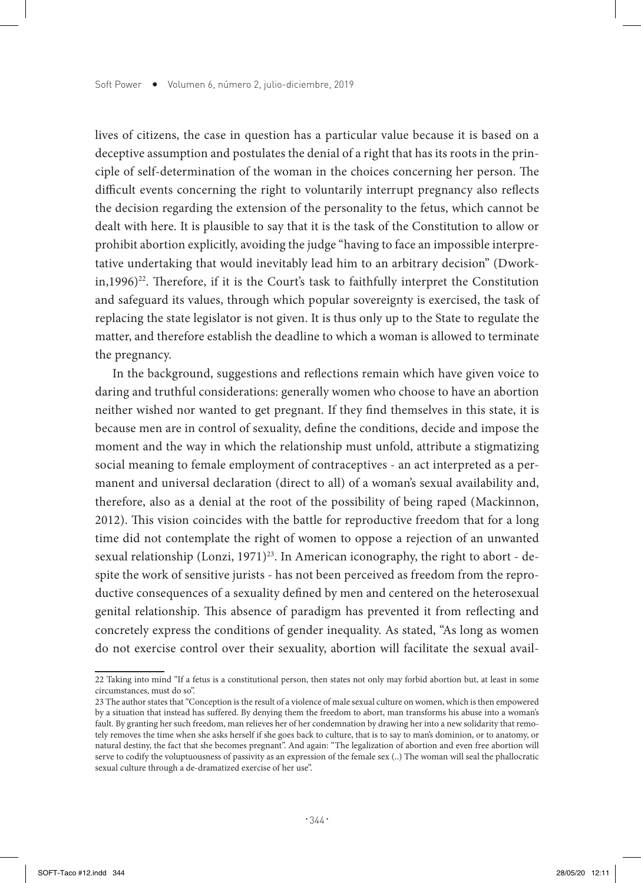lives of citizens, the case in question has a particular value because it is based on a deceptive assumption and postulates the denial of a right that has its roots in the principle of self-determination of the woman in the choices concerning her person. The difficult events concerning the right to voluntarily interrupt pregnancy also reflects the decision regarding the extension of the personality to the fetus, which cannot be dealt with here. It is plausible to say that it is the task of the Constitution to allow or prohibit abortion explicitly, avoiding the judge "having to face an impossible interpretative undertaking that would inevitably lead him to an arbitrary decision" (Dwork- $\sin(1996)^{22}$ . Therefore, if it is the Court's task to faithfully interpret the Constitution and safeguard its values, through which popular sovereignty is exercised, the task of replacing the state legislator is not given. It is thus only up to the State to regulate the matter, and therefore establish the deadline to which a woman is allowed to terminate the pregnancy.

In the background, suggestions and reflections remain which have given voice to daring and truthful considerations: generally women who choose to have an abortion neither wished nor wanted to get pregnant. If they find themselves in this state, it is because men are in control of sexuality, define the conditions, decide and impose the moment and the way in which the relationship must unfold, attribute a stigmatizing social meaning to female employment of contraceptives - an act interpreted as a permanent and universal declaration (direct to all) of a woman's sexual availability and, therefore, also as a denial at the root of the possibility of being raped (Mackinnon, 2012). This vision coincides with the battle for reproductive freedom that for a long time did not contemplate the right of women to oppose a rejection of an unwanted sexual relationship (Lonzi, 1971)<sup>23</sup>. In American iconography, the right to abort - despite the work of sensitive jurists - has not been perceived as freedom from the reproductive consequences of a sexuality defined by men and centered on the heterosexual genital relationship. This absence of paradigm has prevented it from reflecting and concretely express the conditions of gender inequality. As stated, "As long as women do not exercise control over their sexuality, abortion will facilitate the sexual avail-

<sup>22</sup> Taking into mind "If a fetus is a constitutional person, then states not only may forbid abortion but, at least in some circumstances, must do so".

<sup>23</sup> The author states that "Conception is the result of a violence of male sexual culture on women, which is then empowered by a situation that instead has suffered. By denying them the freedom to abort, man transforms his abuse into a woman's fault. By granting her such freedom, man relieves her of her condemnation by drawing her into a new solidarity that remotely removes the time when she asks herself if she goes back to culture, that is to say to man's dominion, or to anatomy, or natural destiny, the fact that she becomes pregnant". And again: "The legalization of abortion and even free abortion will serve to codify the voluptuousness of passivity as an expression of the female sex (..) The woman will seal the phallocratic sexual culture through a de-dramatized exercise of her use".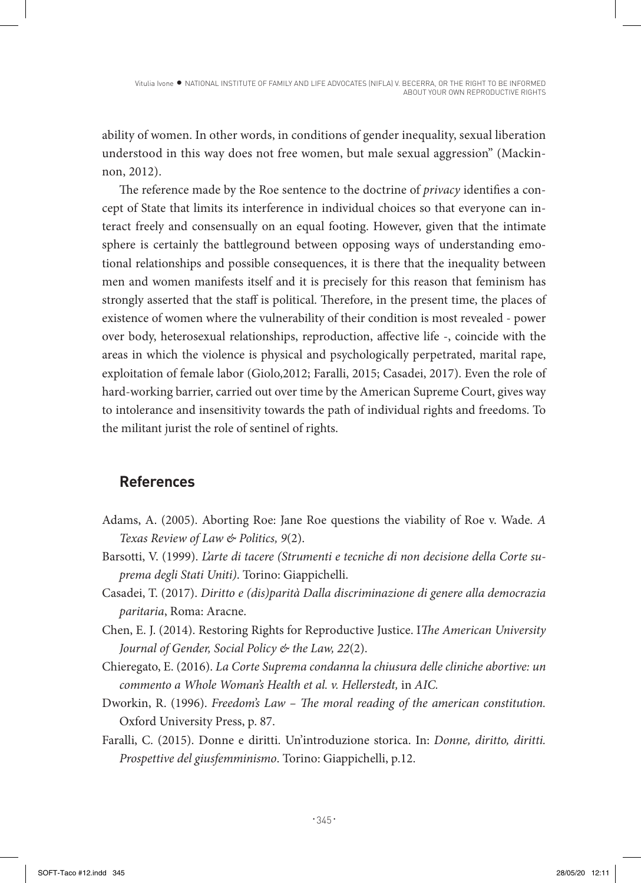Vitulia Ivone • NATIONAL INSTITUTE OF FAMILY AND LIFE ADVOCATES (NIFLA) V. BECERRA, OR THE RIGHT TO BE INFORMED ABOUT YOUR OWN REPRODUCTIVE RIGHTS

ability of women. In other words, in conditions of gender inequality, sexual liberation understood in this way does not free women, but male sexual aggression" (Mackinnon, 2012).

The reference made by the Roe sentence to the doctrine of *privacy* identifies a concept of State that limits its interference in individual choices so that everyone can interact freely and consensually on an equal footing. However, given that the intimate sphere is certainly the battleground between opposing ways of understanding emotional relationships and possible consequences, it is there that the inequality between men and women manifests itself and it is precisely for this reason that feminism has strongly asserted that the staff is political. Therefore, in the present time, the places of existence of women where the vulnerability of their condition is most revealed - power over body, heterosexual relationships, reproduction, affective life -, coincide with the areas in which the violence is physical and psychologically perpetrated, marital rape, exploitation of female labor (Giolo,2012; Faralli, 2015; Casadei, 2017). Even the role of hard-working barrier, carried out over time by the American Supreme Court, gives way to intolerance and insensitivity towards the path of individual rights and freedoms. To the militant jurist the role of sentinel of rights.

## **References**

- Adams, A. (2005). Aborting Roe: Jane Roe questions the viability of Roe v. Wade*. A Texas Review of Law & Politics, 9*(2).
- Barsotti, V. (1999). *L'arte di tacere (Strumenti e tecniche di non decisione della Corte suprema degli Stati Uniti)*. Torino: Giappichelli.
- Casadei, T. (2017). *Diritto e (dis)parità Dalla discriminazione di genere alla democrazia paritaria*, Roma: Aracne.
- Chen, E. J. (2014). Restoring Rights for Reproductive Justice. I*The American University Journal of Gender, Social Policy & the Law, 22*(2).
- Chieregato, E. (2016). *La Corte Suprema condanna la chiusura delle cliniche abortive: un commento a Whole Woman's Health et al. v. Hellerstedt,* in *AIC.*
- Dworkin, R. (1996). *Freedom's Law The moral reading of the american constitution.*  Oxford University Press, p. 87.
- Faralli, C. (2015). Donne e diritti. Un'introduzione storica. In: *Donne, diritto, diritti. Prospettive del giusfemminismo*. Torino: Giappichelli, p.12.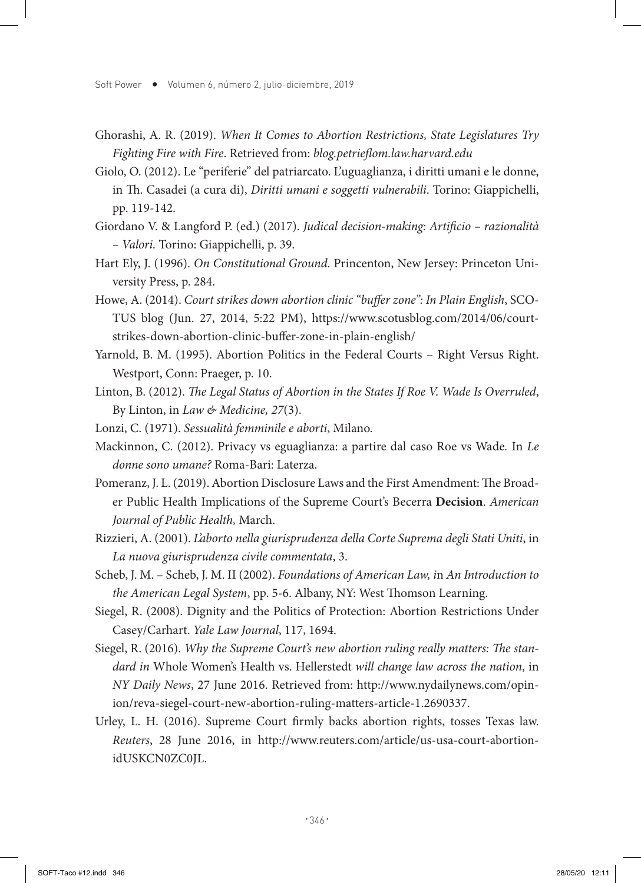- Ghorashi, A. R. (2019). *When It Comes to Abortion Restrictions, State Legislatures Try Fighting Fire with Fire*. Retrieved from: *blog.petrieflom.law.harvard.edu*
- Giolo, O. (2012). Le "periferie" del patriarcato. L'uguaglianza, i diritti umani e le donne, in Th. Casadei (a cura di), *Diritti umani e soggetti vulnerabili*. Torino: Giappichelli, pp. 119-142.
- Giordano V. & Langford P. (ed.) (2017). *Judical decision-making: Artificio razionalità – Valori.* Torino: Giappichelli, p. 39.
- Hart Ely, J. (1996). *On Constitutional Ground*. Princenton, New Jersey: Princeton University Press, p. 284.
- Howe, A. (2014). *Court strikes down abortion clinic "buffer zone": In Plain English*, SCO-TUS blog (Jun. 27, 2014, 5:22 PM), https://www.scotusblog.com/2014/06/courtstrikes-down-abortion-clinic-buffer-zone-in-plain-english/
- Yarnold, B. M. (1995). Abortion Politics in the Federal Courts Right Versus Right. Westport, Conn: Praeger, p. 10.
- Linton, B. (2012). *The Legal Status of Abortion in the States If Roe V. Wade Is Overruled*, By Linton, in *Law & Medicine, 27*(3).
- Lonzi, C. (1971). *Sessualità femminile e aborti*, Milano.
- Mackinnon, C. (2012). Privacy vs eguaglianza: a partire dal caso Roe vs Wade*.* In *Le donne sono umane?* Roma-Bari: Laterza.
- Pomeranz, J. L. (2019). Abortion Disclosure Laws and the First Amendment: The Broader Public Health Implications of the Supreme Court's Becerra **Decision**. *American Journal of Public Health,* March.
- Rizzieri, A. (2001). *L'aborto nella giurisprudenza della Corte Suprema degli Stati Uniti*, in *La nuova giurisprudenza civile commentata*, 3.
- Scheb, J. M. Scheb, J. M. II (2002). *Foundations of American Law, i*n *An Introduction to the American Legal System*, pp. 5-6. Albany, NY: West Thomson Learning.
- Siegel, R. (2008). Dignity and the Politics of Protection: Abortion Restrictions Under Casey/Carhart. *Yale Law Journal*, 117, 1694.
- Siegel, R. (2016). *Why the Supreme Court's new abortion ruling really matters: The standard in* Whole Women's Health vs. Hellerstedt *will change law across the nation*, in *NY Daily News*, 27 June 2016. Retrieved from: http://www.nydailynews.com/opinion/reva-siegel-court-new-abortion-ruling-matters-article-1.2690337.
- Urley, L. H. (2016). Supreme Court firmly backs abortion rights, tosses Texas law. *Reuters*, 28 June 2016, in http://www.reuters.com/article/us-usa-court-abortionidUSKCN0ZC0JL.